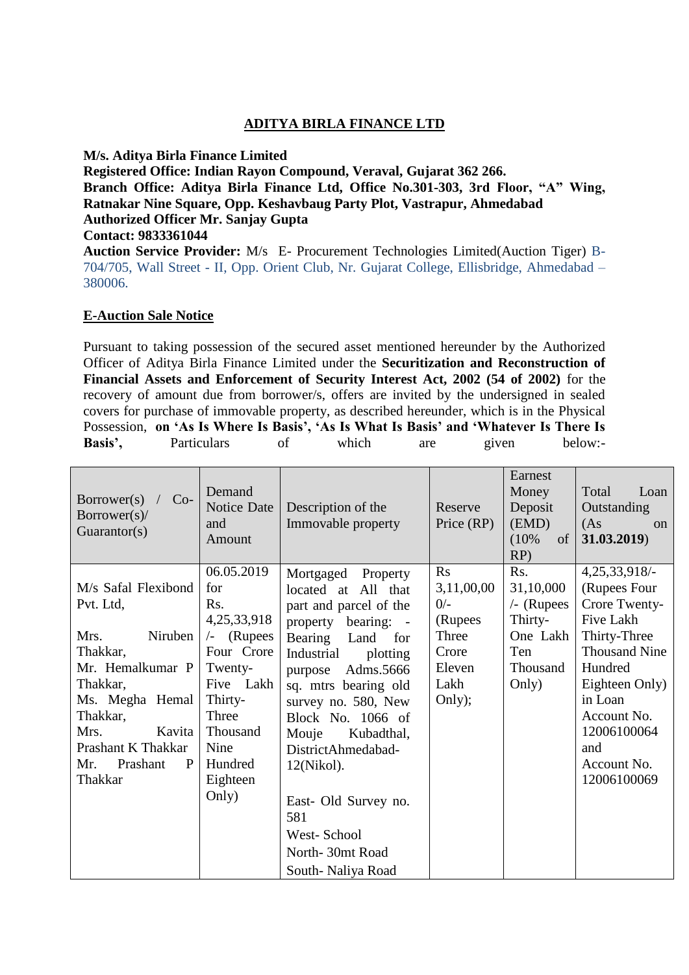## **ADITYA BIRLA FINANCE LTD**

## **M/s. Aditya Birla Finance Limited**

**Registered Office: Indian Rayon Compound, Veraval, Gujarat 362 266. Branch Office: Aditya Birla Finance Ltd, Office No.301-303, 3rd Floor, "A" Wing, Ratnakar Nine Square, Opp. Keshavbaug Party Plot, Vastrapur, Ahmedabad Authorized Officer Mr. Sanjay Gupta Contact: 9833361044**

**Auction Service Provider:** M/s E- Procurement Technologies Limited(Auction Tiger) B-704/705, Wall Street - II, Opp. Orient Club, Nr. Gujarat College, Ellisbridge, Ahmedabad – 380006.

## **E-Auction Sale Notice**

Pursuant to taking possession of the secured asset mentioned hereunder by the Authorized Officer of Aditya Birla Finance Limited under the **Securitization and Reconstruction of Financial Assets and Enforcement of Security Interest Act, 2002 (54 of 2002)** for the recovery of amount due from borrower/s, offers are invited by the undersigned in sealed covers for purchase of immovable property, as described hereunder, which is in the Physical Possession, **on 'As Is Where Is Basis', 'As Is What Is Basis' and 'Whatever Is There Is**  Basis', Particulars of which are given below:-

| Borrower(s) /<br>$Co-$<br>Borrower(s)<br>Guarantor(s)                                                                                                                                                            | Demand<br>Notice Date<br>and<br>Amount                                                                                                                                         | Description of the<br>Immovable property                                                                                                                                                                                                                                                                                                                                                          | Reserve<br>Price (RP)                                                                          | Earnest<br>Money<br>Deposit<br>(EMD)<br>(10%<br>of<br>$RP$ )                         | Total<br>Loan<br>Outstanding<br>(As<br><sub>on</sub><br>31.03.2019)                                                                                                                                             |
|------------------------------------------------------------------------------------------------------------------------------------------------------------------------------------------------------------------|--------------------------------------------------------------------------------------------------------------------------------------------------------------------------------|---------------------------------------------------------------------------------------------------------------------------------------------------------------------------------------------------------------------------------------------------------------------------------------------------------------------------------------------------------------------------------------------------|------------------------------------------------------------------------------------------------|--------------------------------------------------------------------------------------|-----------------------------------------------------------------------------------------------------------------------------------------------------------------------------------------------------------------|
| M/s Safal Flexibond<br>Pvt. Ltd,<br>Niruben<br>Mrs.<br>Thakkar,<br>Mr. Hemalkumar P<br>Thakkar,<br>Ms. Megha Hemal<br>Thakkar,<br>Mrs.<br>Kavita<br>Prashant K Thakkar<br>Prashant<br>Mr.<br>P<br><b>Thakkar</b> | 06.05.2019<br>for<br>Rs.<br>4,25,33,918<br>(Rupees<br>$\sqrt{-}$<br>Four Crore<br>Twenty-<br>Five Lakh<br>Thirty-<br>Three<br>Thousand<br>Nine<br>Hundred<br>Eighteen<br>Only) | Mortgaged<br>Property<br>located at All that<br>part and parcel of the<br>bearing: -<br>property<br>Bearing<br>Land<br>for<br>Industrial<br>plotting<br>purpose<br>Adms.5666<br>sq. mtrs bearing old<br>survey no. 580, New<br>Block No. 1066 of<br>Kubadthal,<br>Mouje<br>DistrictAhmedabad-<br>12(Nikol).<br>East- Old Survey no.<br>581<br>West-School<br>North-30mt Road<br>South-Naliya Road | R <sub>S</sub><br>3,11,00,00<br>$0/-$<br>(Rupees<br>Three<br>Crore<br>Eleven<br>Lakh<br>Only); | Rs.<br>31,10,000<br>$/$ - (Rupees<br>Thirty-<br>One Lakh<br>Ten<br>Thousand<br>Only) | 4,25,33,918/-<br>(Rupees Four)<br>Crore Twenty-<br>Five Lakh<br>Thirty-Three<br><b>Thousand Nine</b><br>Hundred<br>Eighteen Only)<br>in Loan<br>Account No.<br>12006100064<br>and<br>Account No.<br>12006100069 |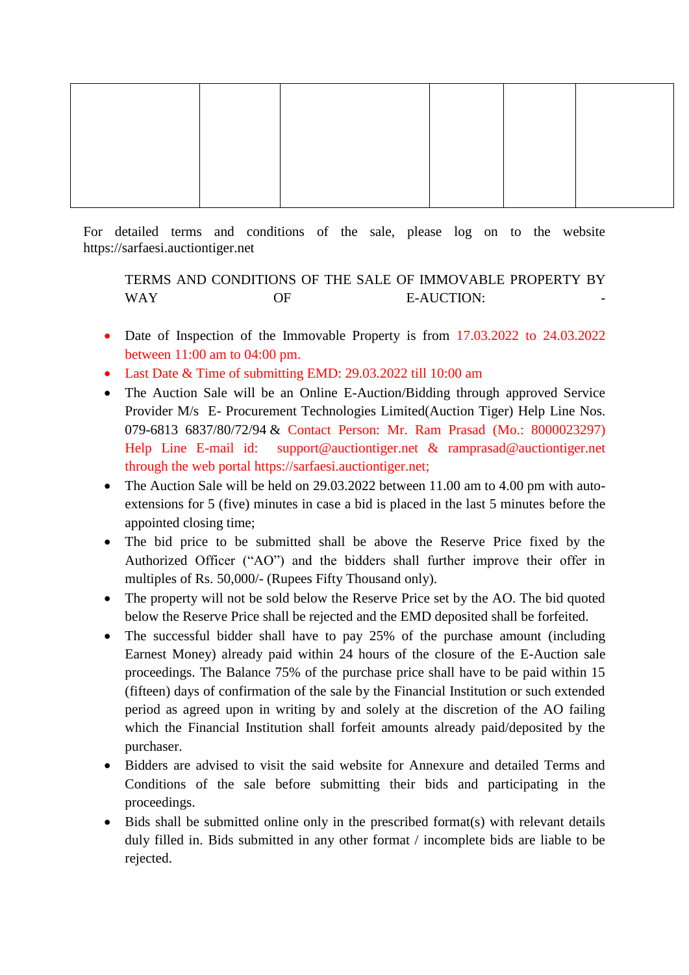For detailed terms and conditions of the sale, please log on to the website [https://sarfaesi.auctiontiger.net](https://sarfaesi.auctiontiger.net/)

TERMS AND CONDITIONS OF THE SALE OF IMMOVABLE PROPERTY BY WAY OF E-AUCTION:

- Date of Inspection of the Immovable Property is from 17.03.2022 to 24.03.2022 between 11:00 am to 04:00 pm.
- Last Date & Time of submitting EMD: 29.03.2022 till 10:00 am
- The Auction Sale will be an Online E-Auction/Bidding through approved Service Provider M/s E- Procurement Technologies Limited(Auction Tiger) Help Line Nos. 079-6813 6837/80/72/94 & Contact Person: Mr. Ram Prasad (Mo.: 8000023297) Help Line E-mail id: [support@auctiontiger.net](mailto:support@auctiontiger.net) & ramprasad@auctiontiger.net through the web portal [https://sarfaesi.auctiontiger.net;](https://sarfaesi.auctiontiger.net/)
- The Auction Sale will be held on 29.03.2022 between 11.00 am to 4.00 pm with autoextensions for 5 (five) minutes in case a bid is placed in the last 5 minutes before the appointed closing time;
- The bid price to be submitted shall be above the Reserve Price fixed by the Authorized Officer ("AO") and the bidders shall further improve their offer in multiples of Rs. 50,000/- (Rupees Fifty Thousand only).
- The property will not be sold below the Reserve Price set by the AO. The bid quoted below the Reserve Price shall be rejected and the EMD deposited shall be forfeited.
- The successful bidder shall have to pay 25% of the purchase amount (including Earnest Money) already paid within 24 hours of the closure of the E-Auction sale proceedings. The Balance 75% of the purchase price shall have to be paid within 15 (fifteen) days of confirmation of the sale by the Financial Institution or such extended period as agreed upon in writing by and solely at the discretion of the AO failing which the Financial Institution shall forfeit amounts already paid/deposited by the purchaser.
- Bidders are advised to visit the said website for Annexure and detailed Terms and Conditions of the sale before submitting their bids and participating in the proceedings.
- Bids shall be submitted online only in the prescribed format(s) with relevant details duly filled in. Bids submitted in any other format / incomplete bids are liable to be rejected.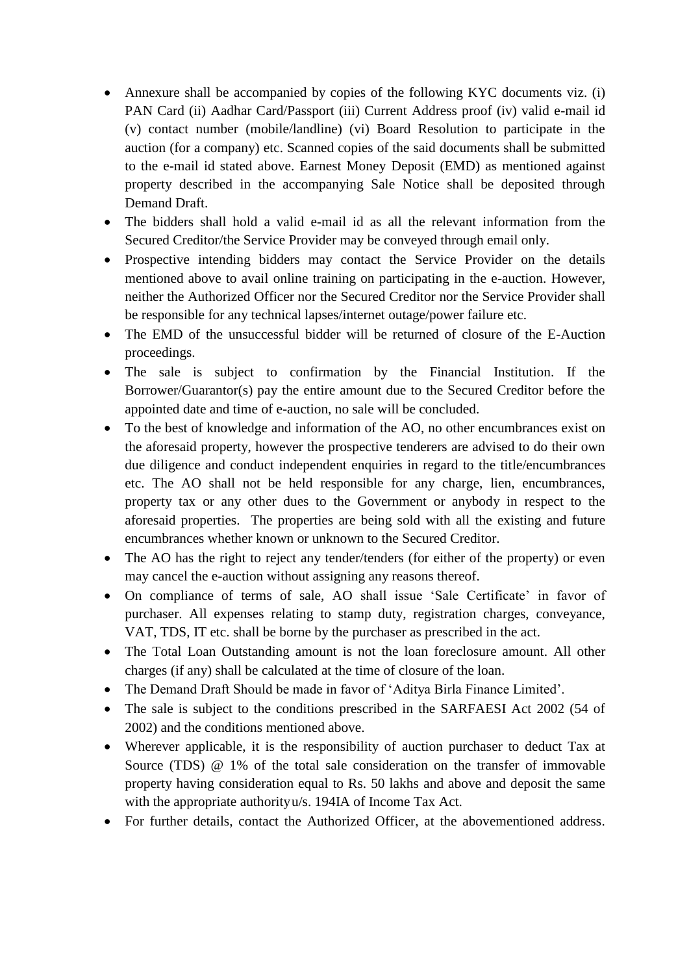- Annexure shall be accompanied by copies of the following KYC documents viz. (i) PAN Card (ii) Aadhar Card/Passport (iii) Current Address proof (iv) valid e-mail id (v) contact number (mobile/landline) (vi) Board Resolution to participate in the auction (for a company) etc. Scanned copies of the said documents shall be submitted to the e-mail id stated above. Earnest Money Deposit (EMD) as mentioned against property described in the accompanying Sale Notice shall be deposited through Demand Draft.
- The bidders shall hold a valid e-mail id as all the relevant information from the Secured Creditor/the Service Provider may be conveyed through email only.
- Prospective intending bidders may contact the Service Provider on the details mentioned above to avail online training on participating in the e-auction. However, neither the Authorized Officer nor the Secured Creditor nor the Service Provider shall be responsible for any technical lapses/internet outage/power failure etc.
- The EMD of the unsuccessful bidder will be returned of closure of the E-Auction proceedings.
- The sale is subject to confirmation by the Financial Institution. If the Borrower/Guarantor(s) pay the entire amount due to the Secured Creditor before the appointed date and time of e-auction, no sale will be concluded.
- To the best of knowledge and information of the AO, no other encumbrances exist on the aforesaid property, however the prospective tenderers are advised to do their own due diligence and conduct independent enquiries in regard to the title/encumbrances etc. The AO shall not be held responsible for any charge, lien, encumbrances, property tax or any other dues to the Government or anybody in respect to the aforesaid properties. The properties are being sold with all the existing and future encumbrances whether known or unknown to the Secured Creditor.
- The AO has the right to reject any tender/tenders (for either of the property) or even may cancel the e-auction without assigning any reasons thereof.
- On compliance of terms of sale, AO shall issue 'Sale Certificate' in favor of purchaser. All expenses relating to stamp duty, registration charges, conveyance, VAT, TDS, IT etc. shall be borne by the purchaser as prescribed in the act.
- The Total Loan Outstanding amount is not the loan foreclosure amount. All other charges (if any) shall be calculated at the time of closure of the loan.
- The Demand Draft Should be made in favor of 'Aditya Birla Finance Limited'.
- The sale is subject to the conditions prescribed in the SARFAESI Act 2002 (54 of 2002) and the conditions mentioned above.
- Wherever applicable, it is the responsibility of auction purchaser to deduct Tax at Source (TDS) @ 1% of the total sale consideration on the transfer of immovable property having consideration equal to Rs. 50 lakhs and above and deposit the same with the appropriate authorityu/s. 194IA of Income Tax Act.
- For further details, contact the Authorized Officer, at the abovementioned address.